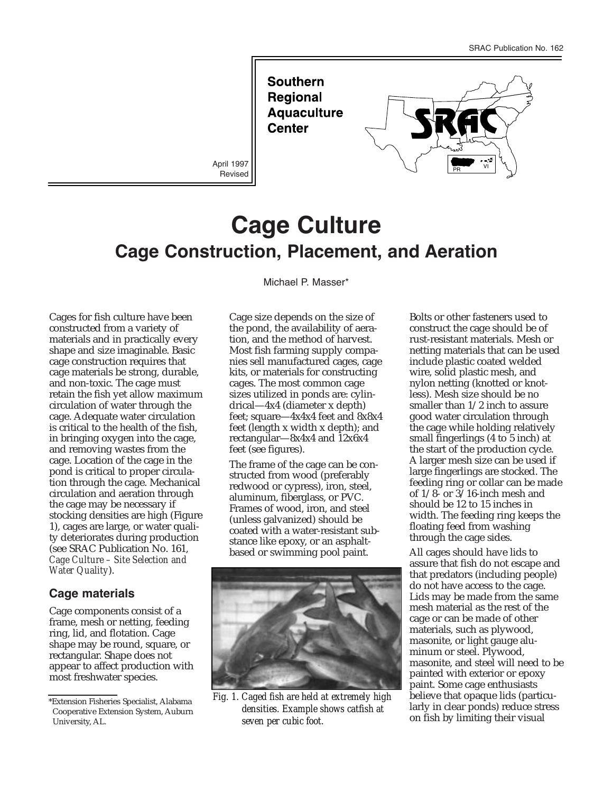**Southern Regional Aquaculture Center** 

Revised



# **Cage Culture Cage Construction, Placement, and Aeration**

Cages for fish culture have been constructed from a variety of materials and in practically every shape and size imaginable. Basic cage construction requires that cage materials be strong, durable, and non-toxic. The cage must retain the fish yet allow maximum circulation of water through the cage. Adequate water circulation is critical to the health of the fish, in bringing oxygen into the cage, and removing wastes from the cage. Location of the cage in the pond is critical to proper circulation through the cage. Mechanical circulation and aeration through the cage may be necessary if stocking densities are high (Figure 1), cages are large, or water quality deteriorates during production (see SRAC Publication No. 161, *Cage Culture – Site Selection and Water Quality*).

#### **Cage materials**

Cage components consist of a frame, mesh or netting, feeding ring, lid, and flotation. Cage shape may be round, square, or rectangular. Shape does not appear to affect production with most freshwater species.

Michael P. Masser\*

Cage size depends on the size of the pond, the availability of aeration, and the method of harvest. Most fish farming supply companies sell manufactured cages, cage kits, or materials for constructing cages. The most common cage sizes utilized in ponds are: cylindrical—4x4 (diameter x depth) feet; square—4x4x4 feet and 8x8x4 feet (length x width x depth); and rectangular—8x4x4 and 12x6x4 feet (see figures).

The frame of the cage can be constructed from wood (preferably redwood or cypress), iron, steel, aluminum, fiberglass, or PVC. Frames of wood, iron, and steel (unless galvanized) should be coated with a water-resistant substance like epoxy, or an asphaltbased or swimming pool paint.



*Fig. 1. Caged fish are held at extremely high densities. Example shows catfish at seven per cubic foot.*

Bolts or other fasteners used to construct the cage should be of rust-resistant materials. Mesh or netting materials that can be used include plastic coated welded wire, solid plastic mesh, and nylon netting (knotted or knotless). Mesh size should be no smaller than 1/2 inch to assure good water circulation through the cage while holding relatively small fingerlings (4 to 5 inch) at the start of the production cycle. A larger mesh size can be used if large fingerlings are stocked. The feeding ring or collar can be made of 1/8- or 3/16-inch mesh and should be 12 to 15 inches in width. The feeding ring keeps the floating feed from washing through the cage sides.

All cages should have lids to assure that fish do not escape and that predators (including people) do not have access to the cage. Lids may be made from the same mesh material as the rest of the cage or can be made of other materials, such as plywood, masonite, or light gauge aluminum or steel. Plywood, masonite, and steel will need to be painted with exterior or epoxy paint. Some cage enthusiasts believe that opaque lids (particularly in clear ponds) reduce stress on fish by limiting their visual

<sup>\*</sup>Extension Fisheries Specialist, Alabama Cooperative Extension System, Auburn University, AL.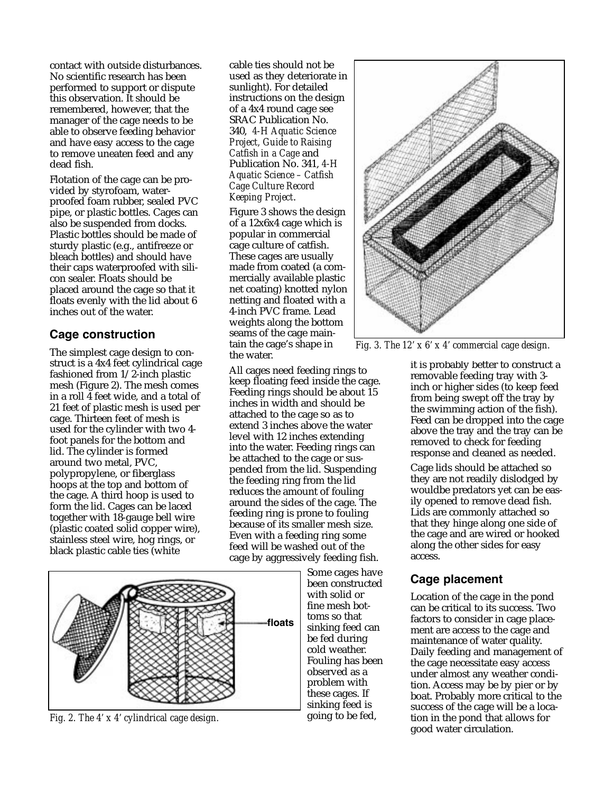contact with outside disturbances. No scientific research has been performed to support or dispute this observation. It should be remembered, however, that the manager of the cage needs to be able to observe feeding behavior and have easy access to the cage to remove uneaten feed and any dead fish.

Flotation of the cage can be provided by styrofoam, waterproofed foam rubber, sealed PVC pipe, or plastic bottles. Cages can also be suspended from docks. Plastic bottles should be made of sturdy plastic (e.g., antifreeze or bleach bottles) and should have their caps waterproofed with silicon sealer. Floats should be placed around the cage so that it floats evenly with the lid about 6 inches out of the water.

#### **Cage construction**

The simplest cage design to construct is a 4x4 feet cylindrical cage fashioned from 1/2-inch plastic mesh (Figure 2). The mesh comes in a roll 4 feet wide, and a total of 21 feet of plastic mesh is used per cage. Thirteen feet of mesh is used for the cylinder with two 4 foot panels for the bottom and lid. The cylinder is formed around two metal, PVC, polypropylene, or fiberglass hoops at the top and bottom of the cage. A third hoop is used to form the lid. Cages can be laced together with 18-gauge bell wire (plastic coated solid copper wire), stainless steel wire, hog rings, or black plastic cable ties (white

cable ties should not be used as they deteriorate in sunlight). For detailed instructions on the design of a 4x4 round cage see SRAC Publication No. 340, *4-H Aquatic Science Project, Guide to Raising Catfish in a Cage* and Publication No. 341, *4-H Aquatic Science – Catfish Cage Culture Record Keeping Project*.

Figure 3 shows the design of a 12x6x4 cage which is popular in commercial cage culture of catfish. These cages are usually made from coated (a commercially available plastic net coating) knotted nylon netting and floated with a 4-inch PVC frame. Lead weights along the bottom seams of the cage maintain the cage's shape in the water.

All cages need feeding rings to keep floating feed inside the cage. Feeding rings should be about 15 inches in width and should be attached to the cage so as to extend 3 inches above the water level with 12 inches extending into the water. Feeding rings can be attached to the cage or suspended from the lid. Suspending the feeding ring from the lid reduces the amount of fouling around the sides of the cage. The feeding ring is prone to fouling because of its smaller mesh size. Even with a feeding ring some feed will be washed out of the cage by aggressively feeding fish.



*Fig. 2. The 4' x 4' cylindrical cage design.*

Some cages have been constructed with solid or fine mesh bottoms so that sinking feed can be fed during cold weather. Fouling has been observed as a problem with these cages. If sinking feed is going to be fed,



*Fig. 3. The 12' x 6' x 4' commercial cage design.*

it is probably better to construct a removable feeding tray with 3 inch or higher sides (to keep feed from being swept off the tray by the swimming action of the fish). Feed can be dropped into the cage above the tray and the tray can be removed to check for feeding response and cleaned as needed.

Cage lids should be attached so they are not readily dislodged by wouldbe predators yet can be easily opened to remove dead fish. Lids are commonly attached so that they hinge along one side of the cage and are wired or hooked along the other sides for easy access.

## **Cage placement**

Location of the cage in the pond can be critical to its success. Two factors to consider in cage placement are access to the cage and maintenance of water quality. Daily feeding and management of the cage necessitate easy access under almost any weather condition. Access may be by pier or by boat. Probably more critical to the success of the cage will be a location in the pond that allows for good water circulation.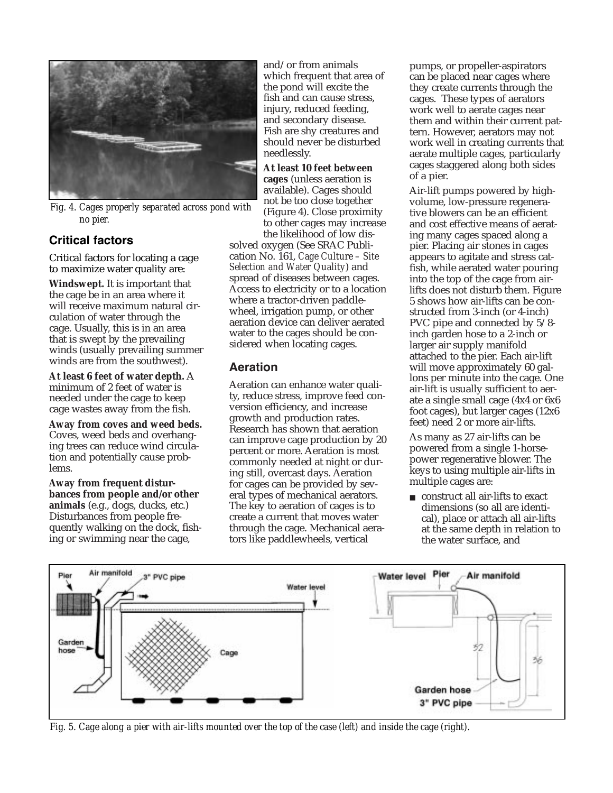

*Fig. 4. Cages properly separated across pond with no pier.*

## **Critical factors**

Critical factors for locating a cage to maximize water quality are:

**Windswept.** It is important that the cage be in an area where it will receive maximum natural circulation of water through the cage. Usually, this is in an area that is swept by the prevailing winds (usually prevailing summer winds are from the southwest).

**At least 6 feet of water depth.** A minimum of 2 feet of water is needed under the cage to keep cage wastes away from the fish.

**Away from coves and weed beds.** Coves, weed beds and overhanging trees can reduce wind circulation and potentially cause problems.

**Away from frequent disturbances from people and/or other animals** (e.g., dogs, ducks, etc.) Disturbances from people frequently walking on the dock, fishing or swimming near the cage,

and/or from animals which frequent that area of the pond will excite the fish and can cause stress, injury, reduced feeding, and secondary disease. Fish are shy creatures and should never be disturbed needlessly.

**At least 10 feet between cages** (unless aeration is available). Cages should not be too close together (Figure 4). Close proximity to other cages may increase the likelihood of low dis-

solved oxygen (See SRAC Publication No. 161, *Cage Culture – Site Selection and Water Quality*) and spread of diseases between cages. Access to electricity or to a location where a tractor-driven paddlewheel, irrigation pump, or other aeration device can deliver aerated water to the cages should be considered when locating cages.

### **Aeration**

Aeration can enhance water quality, reduce stress, improve feed conversion efficiency, and increase growth and production rates. Research has shown that aeration can improve cage production by 20 percent or more. Aeration is most commonly needed at night or during still, overcast days. Aeration for cages can be provided by several types of mechanical aerators. The key to aeration of cages is to create a current that moves water through the cage. Mechanical aerators like paddlewheels, vertical

pumps, or propeller-aspirators can be placed near cages where they create currents through the cages. These types of aerators work well to aerate cages near them and within their current pattern. However, aerators may not work well in creating currents that aerate multiple cages, particularly cages staggered along both sides of a pier.

Air-lift pumps powered by highvolume, low-pressure regenerative blowers can be an efficient and cost effective means of aerating many cages spaced along a pier. Placing air stones in cages appears to agitate and stress catfish, while aerated water pouring into the top of the cage from airlifts does not disturb them. Figure 5 shows how air-lifts can be constructed from 3-inch (or 4-inch) PVC pipe and connected by 5/8 inch garden hose to a 2-inch or larger air supply manifold attached to the pier. Each air-lift will move approximately 60 gallons per minute into the cage. One air-lift is usually sufficient to aerate a single small cage (4x4 or 6x6 foot cages), but larger cages (12x6 feet) need 2 or more air-lifts.

As many as 27 air-lifts can be powered from a single 1-horsepower regenerative blower. The keys to using multiple air-lifts in multiple cages are:

■ construct all air-lifts to exact dimensions (so all are identical), place or attach all air-lifts at the same depth in relation to the water surface, and



*Fig. 5. Cage along a pier with air-lifts mounted over the top of the case (left) and inside the cage (right).*